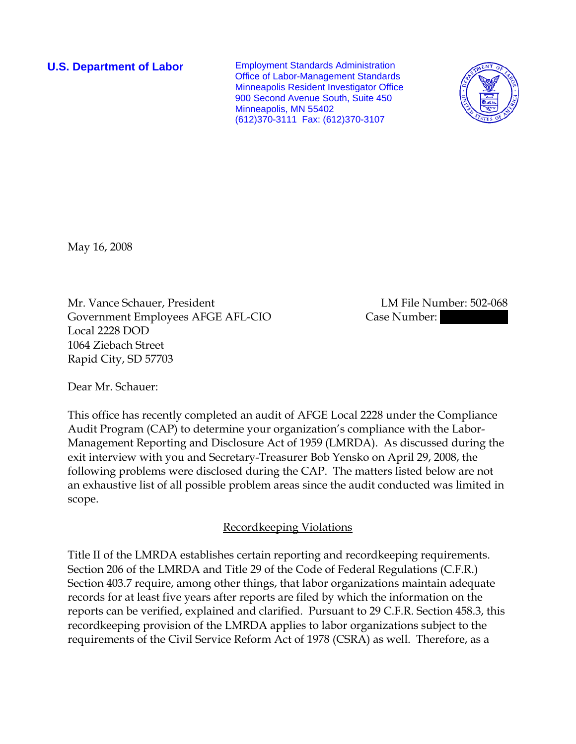**U.S. Department of Labor Employment Standards Administration** Office of Labor-Management Standards Minneapolis Resident Investigator Office 900 Second Avenue South, Suite 450 Minneapolis, MN 55402 (612)370-3111 Fax: (612)370-3107



May 16, 2008

Mr. Vance Schauer, President LM File Number: 502-068 Government Employees AFGE AFL-CIO Case Number: Local 2228 DOD 1064 Ziebach Street Rapid City, SD 57703

Dear Mr. Schauer:

This office has recently completed an audit of AFGE Local 2228 under the Compliance Audit Program (CAP) to determine your organization's compliance with the Labor-Management Reporting and Disclosure Act of 1959 (LMRDA). As discussed during the exit interview with you and Secretary-Treasurer Bob Yensko on April 29, 2008, the following problems were disclosed during the CAP. The matters listed below are not an exhaustive list of all possible problem areas since the audit conducted was limited in scope.

### Recordkeeping Violations

Title II of the LMRDA establishes certain reporting and recordkeeping requirements. Section 206 of the LMRDA and Title 29 of the Code of Federal Regulations (C.F.R.) Section 403.7 require, among other things, that labor organizations maintain adequate records for at least five years after reports are filed by which the information on the reports can be verified, explained and clarified. Pursuant to 29 C.F.R. Section 458.3, this recordkeeping provision of the LMRDA applies to labor organizations subject to the requirements of the Civil Service Reform Act of 1978 (CSRA) as well. Therefore, as a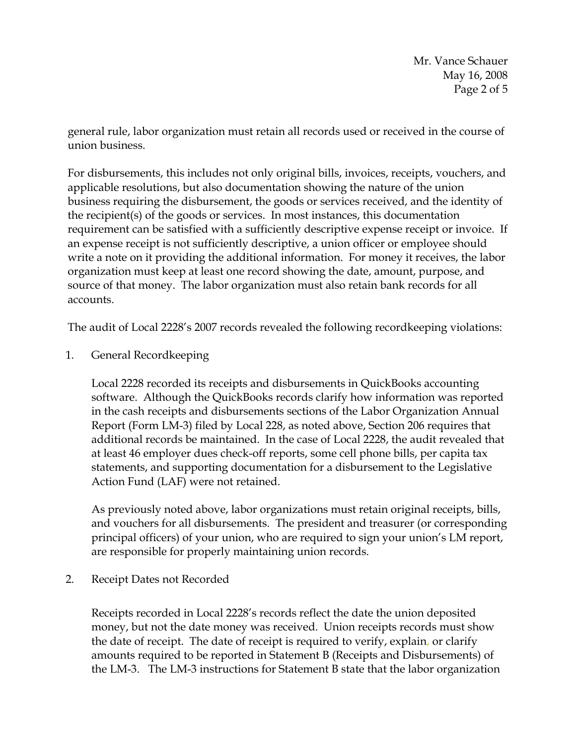Mr. Vance Schauer May 16, 2008 Page 2 of 5

general rule, labor organization must retain all records used or received in the course of union business.

For disbursements, this includes not only original bills, invoices, receipts, vouchers, and applicable resolutions, but also documentation showing the nature of the union business requiring the disbursement, the goods or services received, and the identity of the recipient(s) of the goods or services. In most instances, this documentation requirement can be satisfied with a sufficiently descriptive expense receipt or invoice. If an expense receipt is not sufficiently descriptive, a union officer or employee should write a note on it providing the additional information. For money it receives, the labor organization must keep at least one record showing the date, amount, purpose, and source of that money. The labor organization must also retain bank records for all accounts.

The audit of Local 2228's 2007 records revealed the following recordkeeping violations:

1. General Recordkeeping

Local 2228 recorded its receipts and disbursements in QuickBooks accounting software. Although the QuickBooks records clarify how information was reported in the cash receipts and disbursements sections of the Labor Organization Annual Report (Form LM-3) filed by Local 228, as noted above, Section 206 requires that additional records be maintained. In the case of Local 2228, the audit revealed that at least 46 employer dues check-off reports, some cell phone bills, per capita tax statements, and supporting documentation for a disbursement to the Legislative Action Fund (LAF) were not retained.

As previously noted above, labor organizations must retain original receipts, bills, and vouchers for all disbursements. The president and treasurer (or corresponding principal officers) of your union, who are required to sign your union's LM report, are responsible for properly maintaining union records.

2. Receipt Dates not Recorded

Receipts recorded in Local 2228's records reflect the date the union deposited money, but not the date money was received. Union receipts records must show the date of receipt. The date of receipt is required to verify, explain, or clarify amounts required to be reported in Statement B (Receipts and Disbursements) of the LM-3. The LM-3 instructions for Statement B state that the labor organization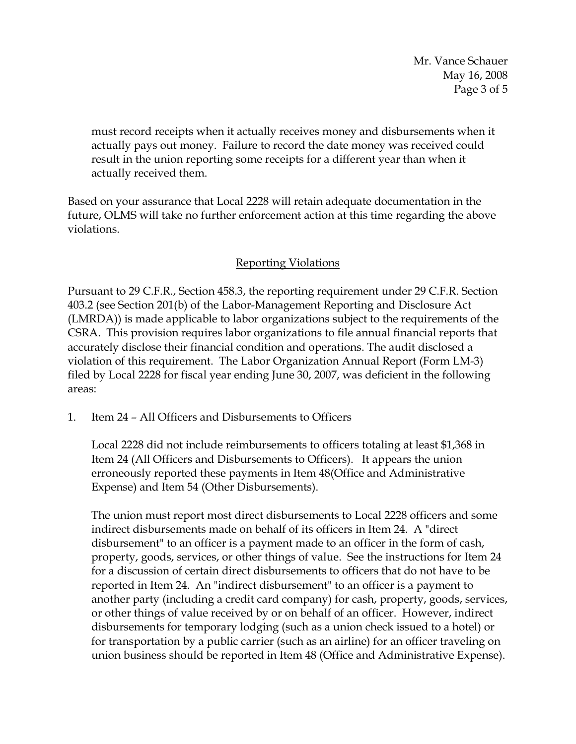Mr. Vance Schauer May 16, 2008 Page 3 of 5

must record receipts when it actually receives money and disbursements when it actually pays out money. Failure to record the date money was received could result in the union reporting some receipts for a different year than when it actually received them.

Based on your assurance that Local 2228 will retain adequate documentation in the future, OLMS will take no further enforcement action at this time regarding the above violations.

# Reporting Violations

Pursuant to 29 C.F.R., Section 458.3, the reporting requirement under 29 C.F.R. Section 403.2 (see Section 201(b) of the Labor-Management Reporting and Disclosure Act (LMRDA)) is made applicable to labor organizations subject to the requirements of the CSRA. This provision requires labor organizations to file annual financial reports that accurately disclose their financial condition and operations. The audit disclosed a violation of this requirement. The Labor Organization Annual Report (Form LM-3) filed by Local 2228 for fiscal year ending June 30, 2007, was deficient in the following areas:

1. Item 24 – All Officers and Disbursements to Officers

Local 2228 did not include reimbursements to officers totaling at least \$1,368 in Item 24 (All Officers and Disbursements to Officers). It appears the union erroneously reported these payments in Item 48(Office and Administrative Expense) and Item 54 (Other Disbursements).

The union must report most direct disbursements to Local 2228 officers and some indirect disbursements made on behalf of its officers in Item 24. A "direct disbursement" to an officer is a payment made to an officer in the form of cash, property, goods, services, or other things of value. See the instructions for Item 24 for a discussion of certain direct disbursements to officers that do not have to be reported in Item 24. An "indirect disbursement" to an officer is a payment to another party (including a credit card company) for cash, property, goods, services, or other things of value received by or on behalf of an officer. However, indirect disbursements for temporary lodging (such as a union check issued to a hotel) or for transportation by a public carrier (such as an airline) for an officer traveling on union business should be reported in Item 48 (Office and Administrative Expense).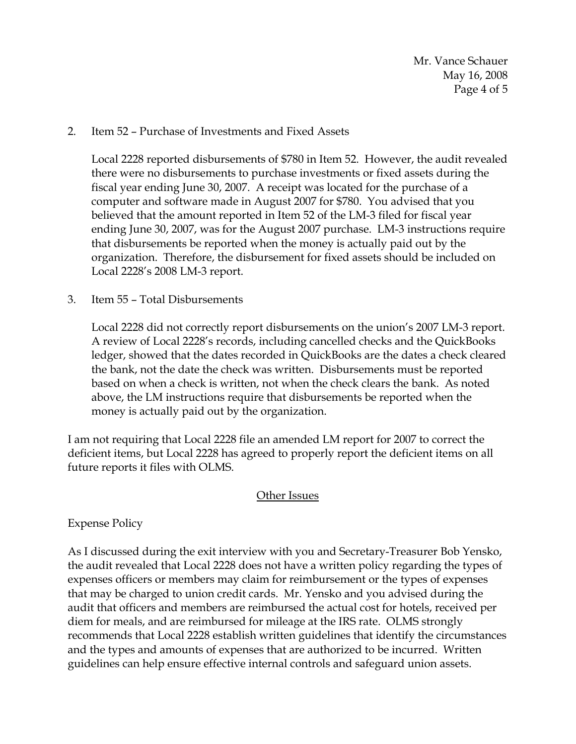Mr. Vance Schauer May 16, 2008 Page 4 of 5

### 2. Item 52 – Purchase of Investments and Fixed Assets

Local 2228 reported disbursements of \$780 in Item 52. However, the audit revealed there were no disbursements to purchase investments or fixed assets during the fiscal year ending June 30, 2007. A receipt was located for the purchase of a computer and software made in August 2007 for \$780. You advised that you believed that the amount reported in Item 52 of the LM-3 filed for fiscal year ending June 30, 2007, was for the August 2007 purchase. LM-3 instructions require that disbursements be reported when the money is actually paid out by the organization. Therefore, the disbursement for fixed assets should be included on Local 2228's 2008 LM-3 report.

## 3. Item 55 – Total Disbursements

Local 2228 did not correctly report disbursements on the union's 2007 LM-3 report. A review of Local 2228's records, including cancelled checks and the QuickBooks ledger, showed that the dates recorded in QuickBooks are the dates a check cleared the bank, not the date the check was written. Disbursements must be reported based on when a check is written, not when the check clears the bank. As noted above, the LM instructions require that disbursements be reported when the money is actually paid out by the organization.

I am not requiring that Local 2228 file an amended LM report for 2007 to correct the deficient items, but Local 2228 has agreed to properly report the deficient items on all future reports it files with OLMS.

### **Other Issues**

Expense Policy

As I discussed during the exit interview with you and Secretary-Treasurer Bob Yensko, the audit revealed that Local 2228 does not have a written policy regarding the types of expenses officers or members may claim for reimbursement or the types of expenses that may be charged to union credit cards. Mr. Yensko and you advised during the audit that officers and members are reimbursed the actual cost for hotels, received per diem for meals, and are reimbursed for mileage at the IRS rate. OLMS strongly recommends that Local 2228 establish written guidelines that identify the circumstances and the types and amounts of expenses that are authorized to be incurred. Written guidelines can help ensure effective internal controls and safeguard union assets.